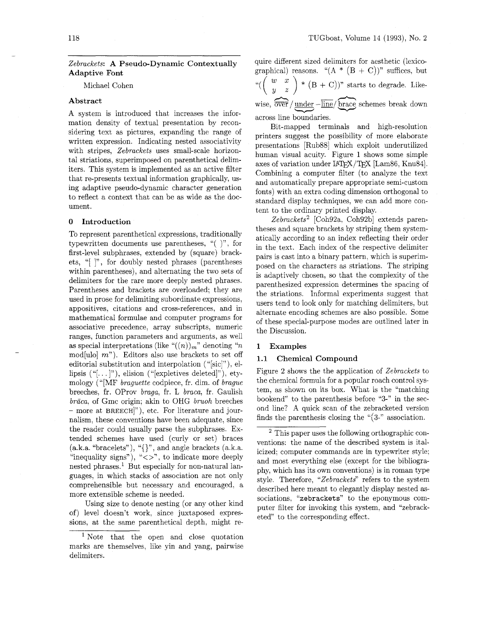# Abstract

A system is introduced that increases the information density of textual presentation by reconsidering text as pictures, expanding the range of written expression. Indicating nested associativity with stripes, Zebrackets uses small-scale horizontal striations, superimposed on parenthetical delimiters. This system is implemented as an active filter that re-presents textual information graphically, using adaptive pseudo-dynamic character generation to reflect a context that can be as wide as the document.

#### **0** Introduction

To represent parenthetical expressions, traditionally typewritten documents use parentheses, " $($  )", for first-level subphrases, extended by (square) brackets, "[ I", for doubly nested phrases (parentheses within parentheses), and alternating the two sets of delimiters for the rare more deeply nested phrases. Parentheses and brackets are overloaded; they are used in prose for delimiting subordinate expressions, appositives, citations and cross-references, and in mathematical formulae and computer programs for associative precedence, array subscripts, numeric ranges, function parameters and arguments, as well as special interpretations (like  $\binom{n}{n}_m$  denoting  $\binom{n}{n}$ mod[ulo]  $m$ "). Editors also use brackets to set off editorial substitution and interpolation ("[sic]"), ellipsis  $(\lq\lq\ldots\rq\rq)$ , elision  $(\lq\lq\lq\text{expletives deleted}\r\rq)$ , etymology ("[MF braguette codpiece, fr. dim. of brague breeches, fr. OProv braga, fr. L braca, fr. Gaulish  $b\bar{r}$  aca, of Gmc origin; akin to OHG *bruoh* breeches - more at BREECH]"), etc. For literature and journalism, these conventions have been adequate, since the reader could usually parse the subphrases. Ex-<br>tended schemes have used (curly or set) braces<br> $\frac{2 \text{ This paper uses the following orthographic content of the formula of the formula.}$ tended schemes have used (curry of set) braces<br>(a.k.a. "bracelets"), "{}", and angle brackets (a.k.a. isingly commute commands are in typermited styles (a.k.a. bracelets), { $\}$ , and angle brackets (a.k.a. icized; computer commands are in typewriter style;<br>"inequality signs"), " $\langle > \rangle$ ", to indicate more deeply<br>nested phrases.<sup>1</sup> But especially for non-natural lan-<br>phy, guages, in which stacks of association are not only<br>comprehensible but necessary and encouraged, a serviced have great to clear<br>orthological dependent in the system but necessary and encouraged, a described here meant to elegantly display nested as-<br>more extensible scheme is needed.

Using size to denote nesting (or any other kind puter filter for invoking this system, and "zebrack-<br>of) level doesn't work, since juxtaposed expresof) level doesn't work, since juxtaposed expres-<br>sions, at the same parenthetical depth, might re-

Zebrackets: A Pseudo-Dynamic Contextually quire different sized delimiters for aesthetic (lexico-Adaptive Font  $\begin{array}{c} \text{A}\text{A}\text{A}\text{B}\text{C} \end{array}$  and  $\begin{array}{c} \text{A}\text{A}\text{C} \end{array}$  (A  $\begin{array}{c} \text{A}\text{C}\text{C} \end{array}$ )" suffices, but Michael Cohen "( $\begin{pmatrix} w & x \\ y & z \end{pmatrix} * (B + C)$ " starts to degrade. Likedifferent sized delimiters for aes<br>
ical) reasons. "(A \* (B + C))"<br>  $\frac{v}{\sqrt{2}}$  (B + C))" starts to c<br>  $\frac{v}{\sqrt{2}}$  (D + C))" starts to c<br>  $\frac{v}{\sqrt{2}}$ wise,  $\overrightarrow{\text{over}}$  / <u>under</u>  $-\overrightarrow{\text{line}}$  brace schemes break down (B + C))" starts<br>
<u>under</u> - <u>line</u>/ brace scheer<br>
boundaries. across line boundaries.

> Bit-mapped terminals and high-resolution printers suggest the possibility of more elaborate presentations [Rub881 which exploit underutilized human visual acuity. Figure 1 shows some simple axes of variation under LAT<sub>F</sub>X/T<sub>F</sub>X [Lam86, Knu84]. Combining a computer filter (to analyze the text and automatically prepare appropriate semi-custom fonts) with an extra coding dimension orthogonal to standard display techniques, we can add more content to the ordinary printed display.

> Zebrackets<sup>2</sup> [Coh92a, Coh92b] extends parentheses and square brackets by striping them systematically according to an index reflecting their order in the text. Each index of the respective delimiter pairs is cast into a binary pattern, which is superimposed on the characters as striations. The striping is adaptively chosen, so that the complexity of the parenthesized expression determines the spacing of the striations. Informal experiments suggest that users tend to look only for matching delimiters, but alternate encoding schemes are also possible. Some of these special-purpose modes are outlined later in the Discussion.

# 1 Examples

# 1.1 Chemical Compound

Figure 2 shows the the application of Zebrackets to the chemical formula for a popular roach control system, as shown on its box. What is the "matching bookend" to the parenthesis before "3-" in the second line? A quick scan of the zebracketed version finds the parenthesis closing the " $(3$ -" association.

<sup>&#</sup>x27; Note that the open and close quotation marks are themselves, like yin and yang, pairwise delimiters.

extensible scheme is needed.<br>Using size to denote nesting (or any other kind<br>the sociations, "zebrackets" to the eponymous com-<br> $\frac{u}{u}$  is the set of the sociation of the large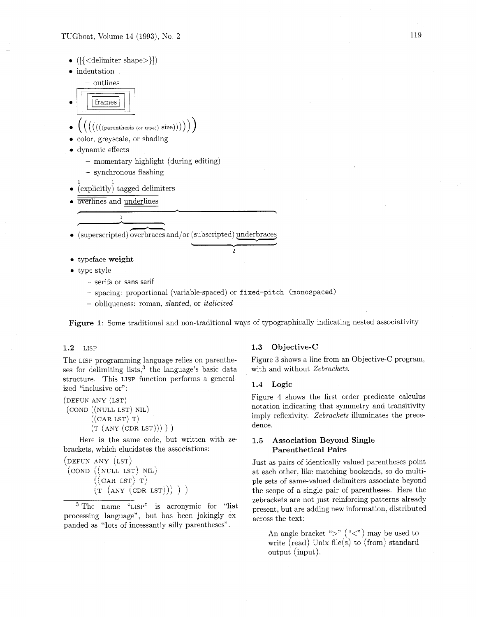- 
- 

# $\begin{equation} \begin{tabular}{l} {\rm (}{{\rm (}{{\rm (}}{\rm )})} & {\rm (}{{\rm (}}{\rm )}) \end{tabular} \end{equation}$

- $((((\text{parents}(\text{or type}))\text{ size})))$ )
- color, greyscale, or shading
- dynamic effects
	- momentary highlight (during editing)
	- synchronous flashing
- explicitly) tagged delimiters
- =lines and underlines

(superscripted) ed delimiters<br>
derlines overbraces and/or (subscripted) - underbraces - **Y** 

- typeface weight
- type style
	- serifs or sans serif
	- spacing: proportional (variable-spaced) or f **ixed-pitch (monospaced)**
	- $-$  obliqueness: roman, *slanted*, or *italicized*

Figure 1: Some traditional and non-traditional ways of typographically indicating nested associativity

**2** 

# 1.2 LISP

The LISP programming language relies on parentheses for delimiting lists, $3$  the language's basic data structure. This LISP function performs a generalized "inclusive or":

```
(DEFUN ANY (LST) 
(COND ((NULL LST) NIL) 
       ((CAR LST) T)(T (ANT (CDR LST))))
```
Here is the same code, but written with zebrackets, which elucidates the associations:

```
(DEFUN ANY (LST) 
 (COND ((NULL LST) NIL) 
         ((\text{CAR } \text{LST}) \ \text{T})(T (ANT (CDR LST))) )
```
<sup>3</sup> The name "LISP" is acronymic for "list processing language", but has been jokingly expanded as "lots of incessantly silly parentheses".

# **1.3** Objective-C

Figure 3 shows a line from an Objective-C program, with and without *Zebrackets.* 

# 1.4 Logic

Figure 4 shows the first order predicate calculus notation indicating that symmetry and transitivity imply reflexivity. *Zebrackets* illuminates the precedence.

# 1.5 Association Beyond Single Parenthetical Pairs

Just as pairs of identically valued parentheses point at each other, like matching bookends, so do multiple sets of same-valued delimiters associate beyond the scope of a single pair of parentheses. Here the zebrackets are not just reinforcing patterns already present, but are adding new information, distributed across the text:

An angle bracket ">"  $(*<"$ ) may be used to write (read) Unix file(s) to (from) standard output (input).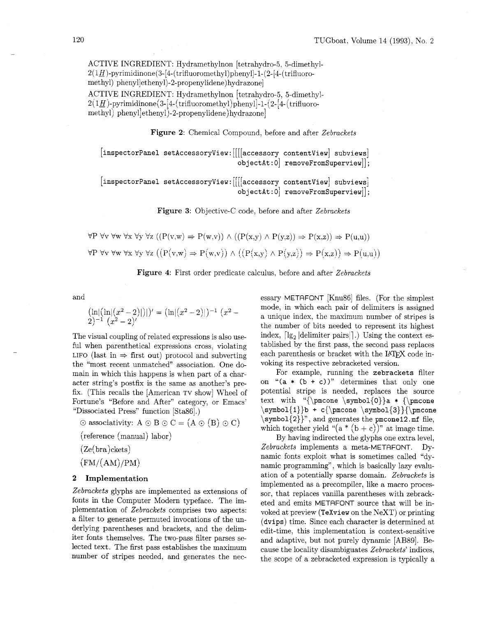ACTIVE INGREDIENT: Hydramethylnon [tetrahydro-5. 5-dimethyl- $2(1H)$ -pyrimidinone(3-[4-(trifluoromethyl)phenyl]-1-(2-[4-(trifluoromethyl) **phenylletheny1)-2-propenylidene)** hydrazone]

ACTIVE INGREDIENT: Hydramethylnon [tetrahydro-5, 5-dimethyl- $2(1H)$ -pyrimidinone $(3-[4-(\text{trifluoromethyl})\text{phenyl}]$ -1- $(2-[4-(\text{trifluorod.}))\text{atifluorod.}$ methyl) **phenyl]ethenyl)-2-propenylidene)hydrazone]** 

Figure 2: Chemical Compound, before and after Zebrackets

 $\begin{array}{|c|c|c|c|c|}\n \hline \text{inspectrum} & \text{setAccessoryView}: & \text{if } \begin{array}{|c|c|c|}\n \hline \text{accessory contentView} & \text{subviews} & \end{array} \end{array}$  $\texttt{objectAt:0} \text{ } \texttt{removeFromSuperview}[]$  ;

 ${\lceil}$ inspectorPanel setAccessoryView: [[[[accessory contentView] subviews]  $objectAt:0$  removeFromSuperview<sup>[]</sup>;

Figure **3:** Objective-C code, before and after Zebrackets

 $\forall P \forall v \forall w \forall x \forall y \forall z ((P(v,w) \Rightarrow P(w,v)) \land ((P(x,y) \land P(y,z)) \Rightarrow P(x,z)) \Rightarrow P(u,u))$  $\forall P \forall v \forall w \forall x \forall y \forall z ((P(v,w) \Rightarrow P(w,v)) \land ((P(x,y) \land P(y,z)) \Rightarrow P(x,z)) \Rightarrow P(u,u))$ 



and

$$
\left(\ln\left|\left(\ln\left|(x^2-2)\right|\right)\right|\right)' = \left(\ln\left|(x^2-2)\right|\right)^{-1} \left(x^2-2\right)^{-1} \left(x^2-2\right)'
$$

The visual coupling of related expressions is also useful when parenthetical expressions cross, violating LIFO (last in  $\Rightarrow$  first out) protocol and subverting the "most recent unmatched" association. One domain in which this happens is when part of a character string's postfix is the same as another's prefix. (This recalls the [American TV show] Wheel of Fortune's "Before and After" category, or Emacs' "Dissociated Press" function [Sta86] .)

 $\odot$  associativity: A  $\odot$  B  $\odot$  C = (A  $\odot$  (B)  $\odot$  C)

- (reference (manual) labor)
- $(Ze(bra)ckets)$

$$
\left(\mathrm{FM}/(\mathrm{AM})/\mathrm{PM}\right)
$$

# **2 Implementation**

Zebrackets glyphs are implemented as extensions of fonts in the Computer Modern typeface. The implementation of Zebrackets comprises two aspects: a filter to generate permuted invocations of the underlying parentheses and brackets, and the delimiter fonts themselves. The two-pass filter parses selected text. The first pass establishes the maximum number of stripes needed, and generates the necessary METAFONT [Knu86] files. (For the simplest mode, in which each pair of delimiters is assigned a unique index, the maximum number of stripes is the number of bits needed to represent its highest index,  $\lceil \lg_2 \rfloor$  delimiter pairs $\lceil \cdot \rfloor$ .) Using the context established by the first pass, the second pass replaces each parenthesis or bracket with the IATFX code invoking its respective zebracketed version.

For example, running the **zebrackets** filter on  $f(a * (b + c))$ " determines that only one potential stripe is needed, replaces the source text with **"{\pmcone \symbol{O))a** \* **{\pmcone \symbol{l)}b** + **c{\pmcone \symbol{3)){\pmcone \symbol{2))",** and generates the **pmcone 12.** mf file, which together yield " $(a * (b + c))$ " at image time.

By having indirected the glyphs one extra level, Zebrackets implements a meta-METAFONT. Dynamic fonts exploit what is sometimes called "dynamic programming", which is basically lazy evaluation of a potentially sparse domain. Zebrackets is implemented as a precompiler, like a macro processor, that replaces vanilla parentheses with zebracketed and emits METAFONT source that will be invoked at preview **(TeXview** on the NeXT) or printing **(dvips)** time. Since each character is determined at edit-time, this implementation is context-sensitive and adaptive, but not purely dynamic [AB89]. Because the locality disambiguates Zebrackets' indices, the scope of a zebracketed expression is typically a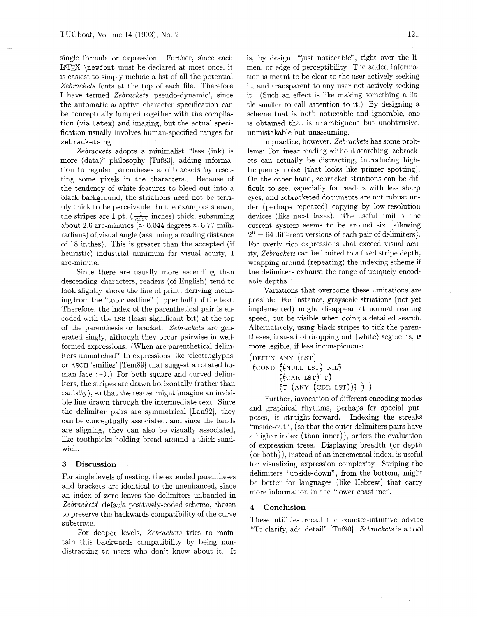single formula or expression. Further, since each  $LATFX$  \newfont must be declared at most once, it is easiest to simply include a list of all the potential Zebrackets fonts at the top of each file. Therefore I have termed Zebrackets 'pseudo-dynamic', since the automatic adaptive character specification can be conceptually lumped together with the compilation (via latex) and imaging, but the actual specification usually involves human-specified ranges for zebracketsing.

Zebrackets adopts a minimalist "less (ink) is more (data)" philosophy [Tuf83], adding information to regular parentheses and brackets by resetting some pixels in the characters. Because of the tendency of white features to bleed out into a black background, the striations need not be terribly thick to be perceivable. In the examples shown, the stripes are 1 pt.  $\left(\frac{1}{72.27}\right)$  inches) thick, subsuming about 2.6 arc-minutes ( $\approx 0.044$  degrees  $\approx 0.77$  milliradians) of visual angle (assuming a reading distance of 18 inches). This is greater than the accepted (if heuristic) industrial minimum for visual acuity, 1 arc-minute.

Since there are usually more ascending than descending characters, readers (of English) tend to look slightly above the line of print, deriving meaning from the "top coastline" (upper half) of the text. Therefore, the index of the parenthetical pair is encoded with the LSB (least significant bit) at the top of the parenthesis or bracket. Zebrackets are generated singly, although they occur pairwise in wellformed expressions. (When are parenthetical delimiters unmatched? In expressions like 'electroglyphs' or ASCII 'smilies' [Tem89] that suggest a rotated human face  $(-)$ .) For both square and curved delimiters, the stripes are drawn horizontally (rather than radially), so that the reader might imagine an invisible line drawn through the intermediate text. Since the delimiter pairs are symmetrical [Lan92], they can be conceptually associated, and since the bands are aligning, they can also be visually associated, like toothpicks holding bread around a thick sandwich.

#### 3 Discussion

For single levels of nesting, the extended parentheses and brackets are identical to the unenhanced, since an index of zero leaves the delimiters unbanded in Zebrackets' default positively-coded scheme, chosen to preserve the backwards compatibility of the curve substrate.

For deeper levels, Zebrackets tries to maintain this backwards compatibility by being nondistracting to users who don't know about it. It

is, by design. "just noticeable", right over the limen, or edge of perceptibility. The added information is meant to be clear to the user actively seeking it, and transparent to any user not actively seeking it. (Such an effect is like making something a little smaller to call attention to it.) By designing a scheme that is both noticeable and ignorable, one is obtained that is unambiguous but unobtrusive, unmistakable but unassuming.

In practice, however, Zebrackets has some problems: For linear reading without searching, zebrackets can actually be distracting, introducing highfrequency noise (that looks like printer spotting). On the other hand, zebracket striations can be difficult to see, especially for readers with less sharp eyes, and zebracketed documents are not robust under (perhaps repeated) copying by low-resolution devices (like most faxes). The useful limit of the current system seems to be around six (allowing  $2^6=64$  different versions of each pair of delimiters. For overly rich expressions that exceed visual acuity, Zebrackets can be limited to a fixed stripe depth, wrapping around (repeating) the indexing scheme if the delimiters exhaust the range of uniquely encodable depths.

Variations that overcome these limitations are possible. For instance, grayscale striations (not yet implemented) might disappear at normal reading speed, but be visible when doing a detailed search. Alternatively, using black stripes to tick the parentheses, instead of dropping out (white) segments, is more legible, if less inconspicuous:

(DEFUN ANY (LST)  $\left(\text{conv } (\text{null} \text{LST}) \text{NIL}\right)$  $(\text{car lsr})$  T)  $({\rm \mathsf{r}}\hspace*{0.1cm}(\text{any (CDR LST)})$  ) )

Further, invocation of different encoding modes and graphical rhythms, perhaps for special purposes, is straight-forward. Indexing the streaks "inside-out", (so that the outer delimiters pairs have a higher index (than inner)), orders the evaluation of expression trees. Displaying breadth (or depth  $($ or both $)$ , instead of an incremental index, is useful for visualizing expression complexity. Striping the delimiters "upside-down", from the bottom, might be better for languages (like Hebrew) that carry more information in the "lower coastline".

### 4 Conclusion

These utilities recall the counter-intuitive advice "To clarify, add detail" [TufgO]. Zebrackets is a tool